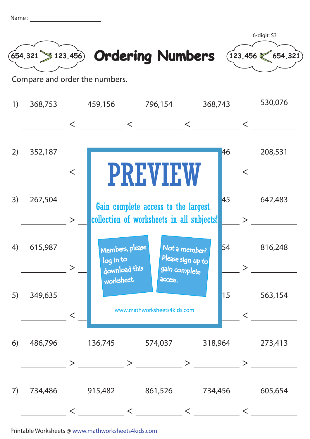| Name |  |
|------|--|
|      |  |
|      |  |



Printable Worksheets @ www.mathworksheets4kids.com